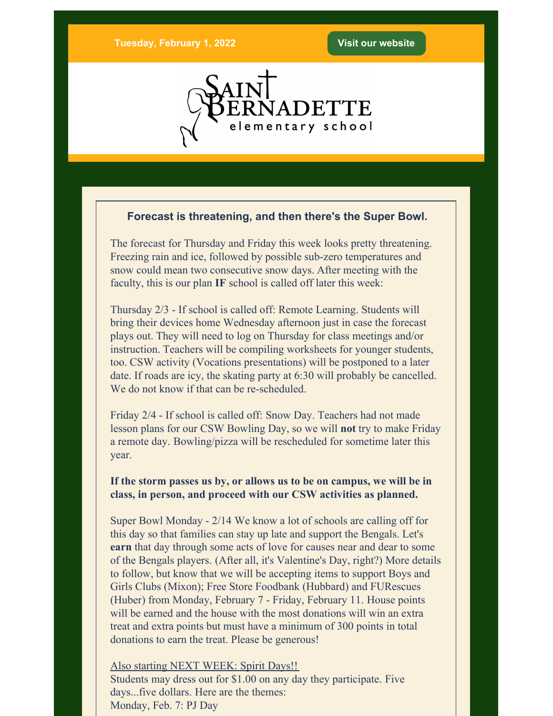

## **Forecast is threatening, and then there's the Super Bowl.**

The forecast for Thursday and Friday this week looks pretty threatening. Freezing rain and ice, followed by possible sub-zero temperatures and snow could mean two consecutive snow days. After meeting with the faculty, this is our plan **IF** school is called off later this week:

Thursday 2/3 - If school is called off: Remote Learning. Students will bring their devices home Wednesday afternoon just in case the forecast plays out. They will need to log on Thursday for class meetings and/or instruction. Teachers will be compiling worksheets for younger students, too. CSW activity (Vocations presentations) will be postponed to a later date. If roads are icy, the skating party at 6:30 will probably be cancelled. We do not know if that can be re-scheduled.

Friday 2/4 - If school is called off: Snow Day. Teachers had not made lesson plans for our CSW Bowling Day, so we will **not** try to make Friday a remote day. Bowling/pizza will be rescheduled for sometime later this year.

**If the storm passes us by, or allows us to be on campus, we will be in class, in person, and proceed with our CSW activities as planned.**

Super Bowl Monday - 2/14 We know a lot of schools are calling off for this day so that families can stay up late and support the Bengals. Let's **earn** that day through some acts of love for causes near and dear to some of the Bengals players. (After all, it's Valentine's Day, right?) More details to follow, but know that we will be accepting items to support Boys and Girls Clubs (Mixon); Free Store Foodbank (Hubbard) and FURescues (Huber) from Monday, February 7 - Friday, February 11. House points will be earned and the house with the most donations will win an extra treat and extra points but must have a minimum of 300 points in total donations to earn the treat. Please be generous!

Also starting NEXT WEEK: Spirit Days!! Students may dress out for \$1.00 on any day they participate. Five days...five dollars. Here are the themes: Monday, Feb. 7: PJ Day